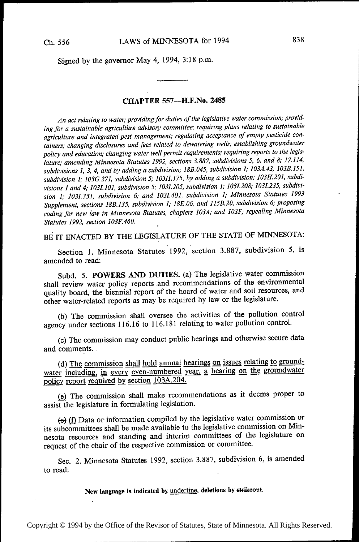Signed by the governor May 4, 1994, 3:18 p.m.

### CHAPTER 557-H.F.No. 2485

An act relating to water; providing for duties of the legislative water commission; providing for a sustainable agriculture advisory committee; requiring plans relating to sustainable agriculture and integrated pest management; regulating acceptance of empty pesticide containers; changing disclosures and fees related to dewatering wells; establishing groundwater policy and education; changing water well permit requirements; requiring reports to the legislature; amending Minnesota Statutes 1992, sections 3.887, subdivisions 5, 6, and 8; 17.114, subdivisions 1, 3, 4, and by adding a subdivision; 18B.045, subdivision 1; 103A.43; 103B.151, subdivision 1; 103G.271, subdivision 5; 103H.175, by adding a subdivision; 10311.20], subdivisions I and 4; 1031.101, subdivision 5; 1031.205, subdivision 1; 1031.208; 1031.235, subdivision 1; 1031.331, subdivision 6; and 1031.401, subdivision 1; Minnesota Statutes <sup>1993</sup> Supplement, sections 18B.135, subdivision 1; 18E.06; and 115B.20, subdivision 6; proposing coding for new law in Minnesota Statutes, chapters 103A; and 103F; repealing Minnesota Statutes 1992, section 103F.460. '

BE IT ENACTED BY THE LEGISLATURE OF THE STATE OF MINNESOTA:

Section 1. Minnesota Statutes 1992, section 3.887, subdivision 5, is amended to read:

Subd. 5. POWERS AND DUTIES. (a) The legislative water commission shall review water policy reports and recommendations of the environmental quality board, the biennial report of the board of water and soil resources, and other water-related reports as may be required by law or the legislature.

(b) The commission shall oversee the activities of the pollution control agency under sections 116.16 to 116.181 relating to water pollution control.

(c) The commission may conduct public hearings and otherwise secure data and comments. .

(d) The commission shall hold annual hearings on issues relating to groundwater including, in every even-numbered year, a hearing on the groundwater policy report required by section 103A.204.

Q) The commission shall make recommendations as it deems proper to assist the legislature in formulating legislation.

(e) (f) Data or information compiled by the legislative water commission or its subcommittees shall be made available to the legislative commission on Minnesota resources and standing and interim committees of the legislature on request of the chair of the respective commission or committee.

Sec. 2. Minnesota Statutes 1992, section 3.887, subdivision 6, is amended to read:

New language is indicated by <u>underline</u>, deletions by strikeout.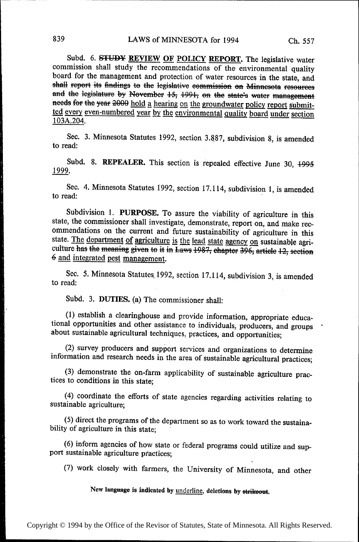Subd. 6. STUDY REVIEW OF POLICY REPORT. The legislative water commission shall study the recommendations of the environmental quality board for the management and protection of water resources in the state, and shall report its findings to the legislative commission on Minnesota resources and the legislature by November 15, 1991, on the state's water management needs for the year 2000 hold a hearing on the groundwater policy report submitted every even-numbered year by the environmental quality board under section 103A.204.

Sec. 3. Minnesota Statutes 1992, section 3.887, subdivision 8, is amended to read:

Subd. 8. REPEALER. This section is repealed effective June 30, 1995 1999.

Sec. 4. Minnesota Statutes 1992, section 17.114, subdivision 1, is amended to read:

Subdivision 1. PURPOSE. To assure the viability of agriculture in this state, the commissioner shall investigate, demonstrate, report on, and make recommendations on the current and future sustainability of agriculture in this state. The department of agriculture is the lead state agency on sustainable agriculture has the meaning given to it in Laws 1987, chapter 396, article 12, section 6 and integrated pest management.

Sec. 5. Minnesota Statutes 1992, section 17.114, subdivision 3, is amended to read:

Subd. 3. DUTIES. (a) The commissioner shall:

(1) establish a clearinghouse and provide information, appropriate educational opportunities and other assistance to individuals, producers, and groups about sustainable agricultural techniques, practices, and opportunities;

(2) survey producers and support services and organizations to determine information and research needs in the area of sustainable agricultural practices;

(3) demonstrate the on-farm applicability of sustainable agriculture practices to conditions in this state:

(4) coordinate the efforts of state agencies regarding activities relating to sustainable agriculture:

(5) direct the programs of the department so as to work toward the sustainability of agriculture in this state;

(6) inform agencies of how state or federal programs could utilize and support sustainable agriculture practices;

(7) work closely with farmers, the University of Minnesota, and other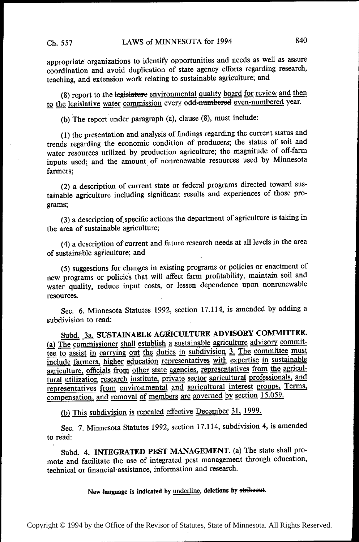appropriate' organizations to identify opportunities and needs as well as assure coordination and avoid duplication of state agency efforts regarding research, teaching; and extension work relating to sustainable agriculture; and

(8) report to the legislature environmental quality board for review and then to the legislative water commission every edd-numbered even-numbered year.

(b) The report under paragraph (a), clause (8), must include:

(1) the presentation and analysis of findings regarding the current status and trends regarding the economic condition of producers; the status of soil and water resources utilized by production agriculture; the magnitude of off-farm inputs used; and the amount\_of nonrenewable resources used by Minnesota farmers;

(2) a description of current state or federal programs directed toward sustainable agriculture including significant results and experiences of those programs;

(3) a description of\_ specific actions the department of agriculture is taking in the area of sustainable agriculture;

(4) a description of current and future research needs at all levels in the area of sustainable agriculture; and

(5) suggestions for changes in existing programs or policies or enactment of new programs or policies that will affect farm profitability, maintain soil and water quality, reduce input costs, or lessen dependence upon nonrenewable resources.

Sec. 6. Minnesota Statutes 1992, section 17.114, is amended by adding <sup>a</sup> subdivision to read:

Subd. 3a. SUSTAINABLE AGRICULTURE ADVISORY COMMITTEE. (a)  $\overline{\text{The commissioner shall establish a sustainable agriculture adversary commit-}}$ tee to assist in carrying out the duties in subdivision 3. The committee must include farmers, higher education representatives with expertise in sustainable agriculture, officials from other state agencies, representatives from the agricultural utilization research institute, private sector agricultural professionals, and representatives from environmental and agricultural interest groups. Terms, compensation, and removal of members are governed by section 15.059.

(b) This subdivision is repealed effective December 31, 1999.

Sec. 7. Minnesota Statutes 1992, section 17.114, subdivision 4, is amended to read:

Subd. 4. INTEGRATED PEST MANAGEMENT. (a) The state shall promote and facilitate the use of integrated pest management through education, technical or financial-assistance, information and research.

New language is indicated by underline, deletions by strikeout.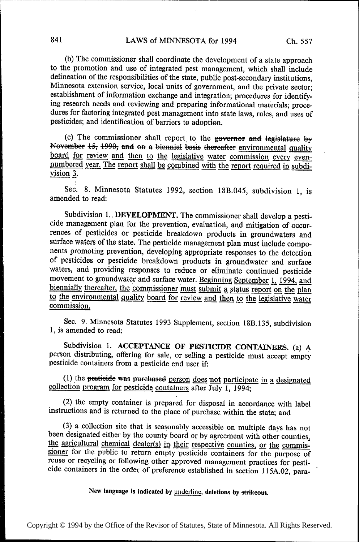(b) The commissioner shall coordinate the development of a state approach to the promotion and use of integrated pest management, which shall include delineation of the responsibilities of the state, public post~secondary institutions, Minnesota extension service, local units of government, and the private sector; establishment of information exchange and integration; procedures for identifying research needs and reviewing and preparing informational materials; procedures for factoring integrated pest management into state laws, rules, and uses of pesticides; and identification of barriers to adoption.

(c) The commissioner shall report to the geverner and legislature by November  $15$ ;  $1990$ ; and en a biennial basis thereafter environmental quality board for review and then to the legislative water commission every evennumbered year. The report shall be combined with the report required in subdivision 3.

Sec. 8. Minnesota Statutes 1992, section 18B.045, subdivision 1, is amended to read:

Subdivision 1., DEVELOPMENT. The commissioner shall develop a pesticide management plan for the prevention, evaluation, and mitigation of occurrences of pesticides or pesticide breakdown products in groundwaters and surface waters of the state. The pesticide management plan must include components promoting prevention, developing appropriate responses to the detection of pesticides or pesticide breakdown products in groundwater and surface waters, and providing responses to reduce or eliminate continued pesticide movement to groundwater and surface water. Beginning September 1, 1994, and biennially thereafter, the commissioner must submit a status report on the plan biennially thereafter, the commissioner must submit a status report on the plan<br>to the environmental quality board for review and then to the legislative water lo the environmental quality board for review and then to the legislative water<br>commission.

Sec. 9. Minnesota Statutes 1993 Supplement, section 18B.135, subdivision 1, is amended to read:

Subdivision 1. ACCEPTANCE OF PESTICIDE CONTAINERS. (a) A person distributing, offering for sale, or selling a pesticide must accept empty pesticide containers from a pesticide end user if:

(1) the pesticide was purchased person does not participate in a designated collection program for pesticide containers after July 1, 1994;

(2) the empty container is prepared for disposal in accordance with label instructions and is returned to the place of purchase within the state; and

(3) a collection site that is seasonably accessible on multiple days has not been designated either by the county board or by agreement with other counties, the agricultural chemical dealer(s) in their respective counties, or the commissioner for the public to return empty pesticide containers for the purpose of reuse or recycling or following other approved management practices for pesti cide containers in the order of preference established in section 115A.02, para-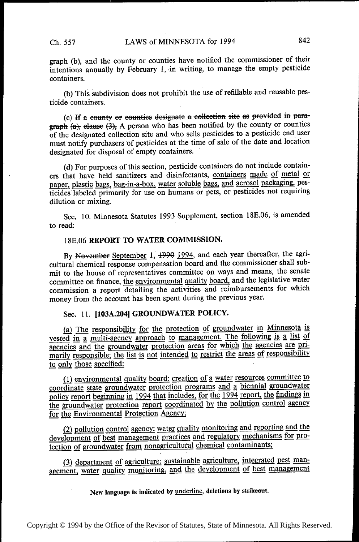graph (b), and the county or counties have notified the commissioner of their intentions annually by February 1, in writing, to manage the empty pesticide containers.

(b) This subdivision does not prohibit the use of refillable and reusable pesticide containers.

(c) If a eounty or counties designate a collection site as provided in para $graph (a)$ ; elause  $(3)$ ; A person who has been notified by the county or counties of the designated collection site and who sells pesticides to a pesticide end\_ user must notify purchasers of pesticides at the time of sale of the date and location designated for disposal of empty containers.

(d) For purposes of this section, pesticide containers do not include containers that have held sanitizers and disinfectants, containers made of metal or paper, plastic bags, bag-in-a-box, water soluble bags, and aerosol packaging, pesticides labeled primarily for use on humans or pets, or pesticides not requiring dilution or mixing.

Sec. 10. Minnesota Statutes 1993 Supplement, section l8E.06, is amended to read:

### l8E.06 REPORT TO WATER COMMISSION.

By November September 1,  $+990$  1994, and each year thereafter, the agricultural chemical response compensation board and the commissioner shall submit to the house of representatives committee on ways and means, the senate committee on finance, the environmental quality board, and the legislative water commission a report detailing the activities and reimbursements for which money from the account has been spent during the previous year.

Sec. 11. [103A.204] GROUNDWATER POLICY.

(a) The responsibility for the protection of groundwater in Minnesota is vested in a multi-agency approach to management. The following is a list of agencies and the groundwater protection areas for which the agencies are primarily responsible; the list is not intended to restrict the areas of responsibility to only those specified:

(1) environmental quality board: creation of a water resources committee to coordinate state groundwater protection programs and a biennial groundwater policy report beginning in 1994 that includes, for the 1994 report, the findings in the groundwater protection report coordinated by the pollution control agency for the Environmental Protection Agency;

(2) pollution control agency: water quality monitoring and reporting and the development of best management practices and regulatory mechanisms for protection of groundwater from nonagricultural chemical contaminants;

(3) department of agriculture: sustainable agriculture, integrated pest management, water quality monitoring, and the development of best management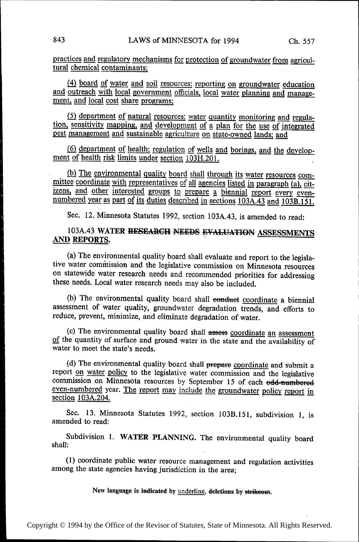practices and regulatory mechanisms for protection of groundwater from agricultural chemical contaminants'

 $(4)$  board of water and soil resources: reporting on groundwater education and outreach with local government officials, local water planning and management, and local cost share programs;

 $(5)$  department of natural resources: water quantity monitoring and regulation, sensitivity mapping, and development of a plan for the use of integrated pest management and sustainable agriculture on state-owned lands; and

(6) department of health: regulation of wells and borings, and the develop- ment of health risk limits under section 103H.201.

(b) The environmental quality board shall through its water resources com-<br>mittee coordinate with representatives of all agencies listed in paragraph (a), citizens, and other interested groups to prepare a biennial report every even-<br>numbered year as part of its duties described in sections 103A.43 and 103B.151.

Sec. 12. Minnesota Statutes 1992, section 103A.43, is amended to read:

# 103A.43 WATER RESEARCH NEEDS EVALUATION ASSESSMENTS AND REPORTS.

(a) The environmental quality board shall evaluate and report to the legislative water commission and the legislative commission on Minnesota resources on statewide water research needs and recommended priorities for addressing these needs. Local water research needs may also be included.

(b) The environmental quality board shall conduct coordinate a biennial assessment of water quality, groundwater degradation trends, and efforts to reduce, prevent, minimize, and eliminate degradation of water.

(c) The environmental quality board shall assess coordinate an assessment of the quantity of surface and ground water in the state and the availability of water to meet the state's needs.

(d) The environmental quality board shall prepare coordinate and submit <sup>a</sup> report on water policy to the legislative water commission and the legislative commission on Minnesota resources by September 15 of each odd-numbered even-numbered year. The report may include the groundwater policy report in section 103A.204.

Sec. 13. Minnesota Statutes 1992, section 103B.151, subdivision 1, is amended to read:

Subdivision 1. WATER PLANNING. The environmental quality board shall:

(1) coordinate public water resource management and regulation activities among the state agencies having jurisdiction in the area;

New language is indicated by underline, deletions by strikeout.

~

~~~

~~

~~

~~

~~~

~~~~

~~~

~~~~

~~~

~~~

~~~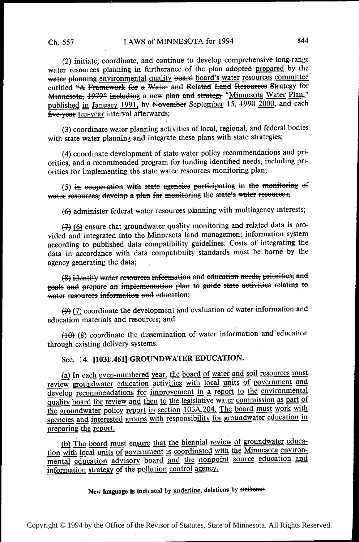(2) initiate, coordinate, and continue to develop comprehensive long-range water resources planning in furtherance of the plan adopted prepared by the water planning environmental quality board board's water resources committee entitled "A Framework for a Water and Related Land Resources Strategy for Minnesota, 1979<sup>2</sup> including a new plan and strategy "Minnesota Water Plan," published in January 1991, by November September 15, 1990 2000, and each five-vear ten-year interval afterwards;

(3) coordinate water planning activities of local, regional, and federal bodies with state water planning and integrate these plans with state strategies;

(4) coordinate development of state water policy recommendations and priorities, and a recommended program for funding identified needs, including priorities for implementing the state water resources monitoring plan;

(5) in eooperation with state agencies participating in the monitoring of water resources, develop a plan for monitoring the state's water resources;

(6) administer federal water resources planning with multiagency interests;

(7) (6) ensure that groundwater quality monitoring and related data is provided and integrated into the Minnesota land management information system according to published data compatibility guidelines. Costs of integrating the data in accordance with data compatibility standards must be borne by the agency generating the data;

(8) identify water resources information and education needs, priorities, and goals and prepare an implementation plan to guide state activities relating to water resources information and education;

 $(9)$  (7) coordinate the development and evaluation of water information and education materials and resources; and

 $(10)$  (8) coordinate the dissemination of water information and education through existing delivery systems.

Sec. 14. [103F.461] GROUNDWATER EDUCATION.

(a) In each even-numbered year, the board of water and soil resources must review groundwater education activities with local units of government and develop recommendations for improvement in a report to the environmental quality board for review and then to the legislative water commission as part of the groundwater policy report in section 103A.204. The board must work with agencies and interested groups with responsibility for groundwater education in preparing the report.

(b) The board must ensure that the biennial review of groundwater education with local units of government is coordinated with the Minnesota environmental education advisory board and the nonpoint source education and information strategy of the pollution control agency.

New language is indicated by <u>underline</u>, deletions by strikeout.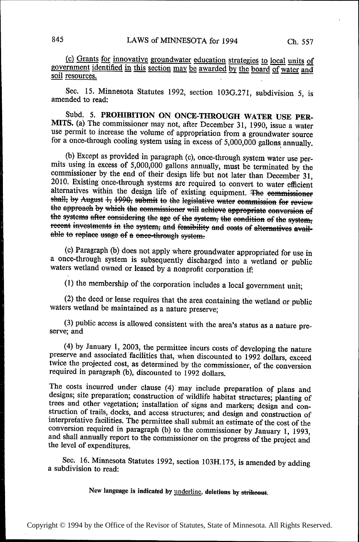(c) Grants for innovative groundwater education strategies to local units of government identified in this section may be awarded by the board of water and soil resources.

Sec. 15. Minnesota Statutes 1992, section lO3G.27I, subdivision 5, is amended to read:

Subd. 5. PROHIBITION ON ONCE-THROUGH WATER USE PER-MITS. (a) The commissioner may not, after December 31, 1990, issue a water use permit to increase the volume of appropriation from a groundwater source for a once-through cooling system using in excess of 5,000,000 gallons annually.

(b) Except as provided in paragraph (c), once-through system water use permits using in excess of  $5,000,000$  gallons annually, must be terminated by the commissioner by the end of their design life but not later than Dec alternatives within the design life of existing equipment. The commissioner shall, by August 1, 1990, submit to the legislative water commission for review the approach by which the commissioner will achieve appropriate conversion of the systems after considering the age of the system; the condition of the system; recent investments in the system, and feasibility and costs of alternatives available to replace usage of a once-through system.

(c). Paragraph (b) does not apply where groundwater appropriated for use in a once-through system is subsequently discharged into a wetland or public waters wetland owned or leased by a nonprofit corporation if:

(l) the membership of the corporation includes a local government unit;

(2) the deed or lease requires that the area containing the wetland or public waters wetland be maintained as a nature preserve;

(3) public access is allowed consistent with the area's status as a nature preserve; and

(4) by January 1, 2003, the permittee incurs costs of developing the nature preserve and associated facilities that, when discounted to 1992 dollars, exceed twice the projected cost, as determined by the commissioner, of

The costs incurred under clause (4) may include preparation of plans and<br>designs; site preparation; construction of wildlife habitat structures; planting of<br>trees and other vegetation; installation of signs and markers; de

Sec. 16. Minnesota Statutes 1992, section l03H.175, is amended by adding a subdivision to read:

New language is indicated by *underline*, deletions by strikeout.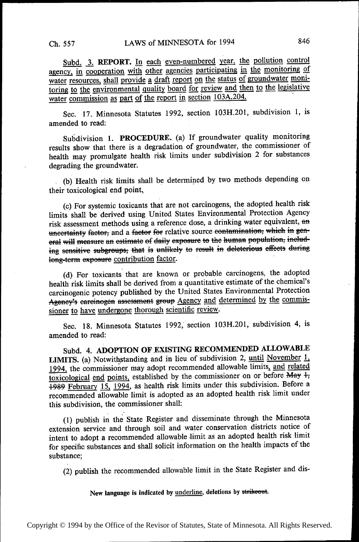Subd. 3. REPORT. In each even-numbered year, the pollution control agency, in cooperation with other agencies participating in the monitoring of water resources, shall provide a draft report on the status of groundwater monitoring to the environmental quality board for review and then to the legislative water commission as part of the report in section 103A.204.

Sec. 17. Minnesota Statutes 1992, section 103H.201, subdivision 1, is amended to read:

Subdivision 1. PROCEDURE. (a) If groundwater quality monitoring results show that there is a degradation of groundwater, the commissioner of health may promulgate health risk limits under subdivision 2 for substances degrading the groundwater.

(b) Health risk limits shall be determined by two methods depending on their toxicological end point,

(c) For systemic toxicants that are not carcinogens, the adopted health risk limits shall be derived using United States Environmental Protection Agency risk assessment methods using a reference dose, a drinking water equivalent, an uncertainty factor, and a factor for relative source contamination, which in general will measure an estimate of daily exposure to the human population, including sensitive subgroups; that is unlikely to result in deleterious effects during long-term exposure contribution factor.

(d) For toxicants that are known or probable carcinogens, the adopted health risk limits shall be derived from a quantitative estimate of the chemical's carcinogenic potency published by the United States Environmental Protection Agency's carcinogen assessment group Agency and determined by the commissioner to have undergone thorough scientific review.

Sec. 18. Minnesota Statutes 1992, section 103H.201, subdivision 4, is amended to read:

Subd. 4. ADOPTION OF EXISTING RECOMMENDED ALLOWABLE LIMITS. (a) Notwithstanding and in lieu of subdivision 2, until November 1, 1994, the commissioner may adopt recommended allowable limits, and related toxicological end points, established by the commissioner on or before May 1, 1989 February 15, 1994, as health risk limits under this subdivision. Before a recommended allowable limit is adopted as an adopted health risk limit under this subdivision, the commissioner shall:

(1) publish in the State Register and disseminate through the Minnesota extension service and through soil and water conservation districts notice of intent to adopt a recommended allowable limit as an adopted health risk limit for specific substances and shall solicit information on the health impacts of the substance:

(2) publish the recommended allowable limit in the State Register and dis-

New language is indicated by underline, deletions by strikeout.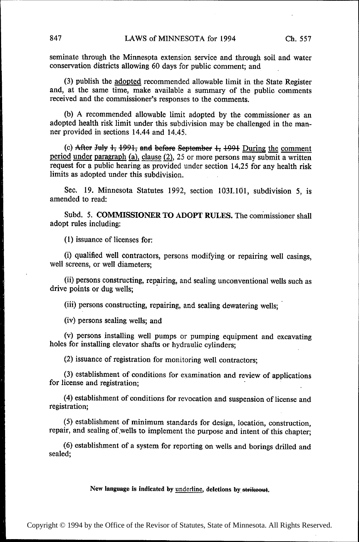seminate through the Minnesota extension service and through soil and water conservation districts allowing 60 days for public comment; and

(3) publish the adopted recommended allowable limit in the State Register and, at the same time, make available a summary of the public. comments received and the commissioner's responses to the comments.

(b) A recommended allowable limit adopted by the commissioner as an adopted health risk limit under this subdivision may be challenged in the manner provided in sections 14.44 and 14.45.

(c) After July  $4, 4991$ , and before September  $4, 4994$  During the comment period under paragraph (a), clause  $(2)$ , 25 or more persons may submit a written request for a public hearing as provided under section 14,25 for any health risk limits as adopted under this subdivision.

Sec. 19. Minnesota Statutes 1992, section 1031.101, subdivision 5, is amended to read:

Subd. 5. COMMISSIONER TO ADOPT RULES. The commissioner shall adopt rules including:

(1) issuance of licenses for:

(i) qualified well contractors, persons modifying or repairing well casings, well screens, or well diameters;

(ii) persons constructing, repairing, and sealing unconventional wells such as drive points or dug wells;

(iii) persons constructing, repairing, and sealing dewatering wells;

(iv) persons sealing wells; and

(V) persons installing well pumps or pumping equipment and excavating holes for installing elevator shafts or hydraulic cylinders;

(2) issuance of registration for monitoring well contractors;

(3) establishment of conditions for examination and review of applications for license and registration;

(4) establishment of conditions for revocation and suspension of license and registration;

(5) establishment of minimum standards for design, location, construction, repair, and sealing of wells to implement the purpose and intent of this chapter;

(6) establishment of a system for reporting on wells and borings drilled and sealed;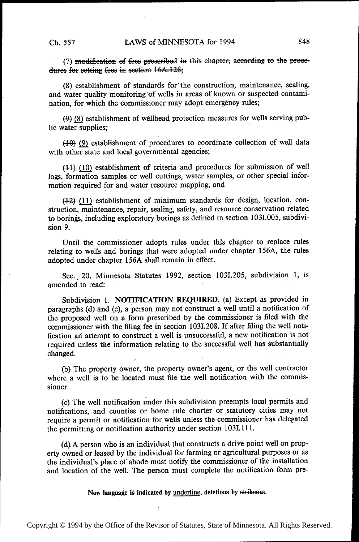(7) modification of fees prescribed in this chapter, according to the proce-<br>dures for setting fees in section  $16A.128$ ;

(8) establishment of standards for'the construction, maintenance, sealing, and water quality monitoring 'of wells in areas of known or suspected contamination, for which the commissioner may adopt emergency rules;

 $(9)$  (8) establishment of wellhead protection measures for wells serving public water supplies;

 $(10)$  (9) establishment of procedures to coordinate collection of well data with other state and local governmental agencies;

 $(11)$  (10) establishment of criteria and procedures for submission of well logs, formation samples or well cuttings, water samples, or other special information required for and water resource mapping; and

 $(12)$  (11) establishment of minimum standards for design, location, construction, maintenance, repair, sealing, safety, and resource conservation related to borings, including exploratory borings as defined in section 1031.005, subdivision 9.

Until the commissioner adopts rules under this chapter to replace rules relating to wells and borings that were adopted under chapter 156A, the rules adopted under chapter 156A shall remain in effect.

Sec., 20. Minnesota Statutes 1992, section 103I.205, subdivision 1, is amended to read: '

Subdivision 1. NOTIFICATION REQUIRED. (a) Except as provided in paragraphs (d) and (e), a person may not construct a well until a notification of the proposed well on a form prescribed by the commissioner is filed with the commissioner with the filing fee in section 1031.208. If after filing the well notification an attempt to construct a well is unsuccessful, a new notification is not required unless the information relating to the successful well has' substantially changed.

(b) The property owner, the property owner's agent, or the well contractor where a well is to be located must file the well notification with the commissioner.

(c) The well notification under this subdivision preempts local permits and notifications, and counties or home rule charter or statutory cities may not require a permit or notification for wells unless the commissioner has delegated the permitting or notification authority under section 1031.111.

 $(d)$ ; A person who is an individual that constructs a drive point well on property owned or leased by the individual for farming or agricultural purposes or as the individual's place of abode must notify the commissioner of the installation and location of the well. The person must complete the notification form pre-

New language is indicated by underline, deletions by strikeout.

ł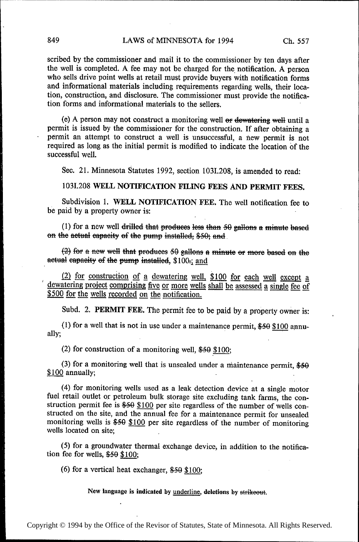scribed by the commissioner and mail it to the commissioner by ten days after the well is completed. A fee may not be charged for the notification. A person who sells drive point wells at retail must provide buyers with notification forms and informational materials including requirements regarding wells, their location, construction, and disclosure. The commissioner must provide the notification forms and informational materials to the sellers.

(e) A person may not construct a monitoring well or dewatering well until a permit is issued by the commissioner for the construction. If after obtaining a permit an attempt to construct a well is unsuccessful, a new permit is not required as long as the initial permit is modified to indicate the location of the successful well.

Sec. 21. Minnesota Statutes 1992, section 103I.208, is amended to read:

1031.208 WELL NOTIFICATION FILING FEES AND PERMIT FEES.

Subdivision 1. WELL NOTIFICATION FEE. The well notification fee to be paid by a property owner is:

(1) for a new well drilled that produces less than 50 gallons a minute based on the actual capacity of the pump installed, \$50; and

 $(2)$  for a new well that produces 50 gallons a minute or more based on the actual capacity of the pump installed, \$100-; and

(2) for construction of a dewatering well, \$100 for each well except a dewatering project comprising five or more wells shall be assessed a single fee of \$500 for the wells recorded on the notification.

Subd. 2. PERMIT FEE. The permit fee to be paid by a property owner is:

(1) for a well that is not in use under a maintenance permit,  $$50 $100$  annually;

(2) for construction of a monitoring well,  $$50$   $$100$ ;

(3) for a monitoring well that is unsealed under a maintenance permit,  $$50$  $$100$  annually;

(4) for monitoring wells used as a leak detection device at a single motor fuel retail outlet or petroleum bulk storage site excluding tank farms, the construction permit fee is \$50 \$100 per site regardless of the number of wells constructed on the site, and the annual fee for a maintenance permit for unsealed monitoring wells is  $$50$  \$100 per site regardless of the number of monitoring wells located on site;

(5) for a groundwater thermal exchange device, in addition to the notification fee for wells,  $$50$  \$100;

(6) for a vertical heat exchanger,  $$50$  \$100;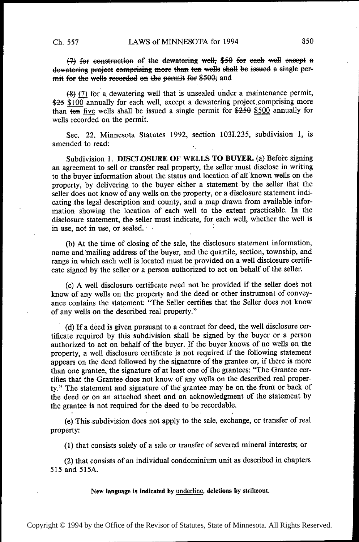(7) for construction of the dewatering well, \$50 for each well except a dewatering project comprising more than ten wells shall be issued a single permit for the wells recorded on the permit for \$500; and

 $(8)$  (7) for a dewatering well that is unsealed under a maintenance permit, \$25 \$100 annually for each well, except a dewatering project comprising more than ten five wells shall be issued a single permit for  $$250$  annually for wells recorded on the permit.

Sec. 22. Minnesota Statutes 1992, section 1031.235, subdivision 1, is amended to read:

Subdivision 1. DISCLOSURE OF WELLS TO BUYER. (a) Before signing an agreement to sell or transfer real property, the seller must disclose in writing to the buyer information about the status and location of all known wells on the property, by delivering to the buyer either a statement by the seller that the seller does not know of any wells on the property, or a disclosure statement indicating the legal description and county, and a map drawn from available information showing the location of each well to the extent practicable. In the disclosure statement, the seller must indicate, for each well, whether the well is in use, not in use, or sealed.  $\ddot{\phantom{1}}$ 

(b) At the time of closing of the sale, the disclosure statement information, name and mailing address of'the buyer, and the quartile, section, township, and range in which each well is located must be provided on a well disclosure certificate signed by the seller or a person authorized to act on behalf of the seller.

(c) A well disclosure certificate need not be provided if the seller does not know of any wells on the property and the deed or other instrument of conveyance contains the statement: "The Seller certifies that the Seller does not know of any wells on the described real property."

(d) If a deed is given pursuant to a contract for deed, the well disclosure certificate required by this subdivision shall be signed by the buyer or a person authorized to act on behalf of the buyer. If the buyer knows of no wells on the property, a well disclosure certificate is not required if the following statement appears on the deed followed by the signature of the grantee or, if there is more than one grantee, the signature of at least one of the grantees: "The Grantee certifies that the Grantee does not know of any wells on the described real property." The statement and signature of the' grantee may be on the front or back of the deed or on an attached sheet and an acknowledgment of the statement by the grantee is not required for the deed to be recordable.

(e)-This subdivision does not apply to the sale, exchange, or transfer of real property:

(1) that consists solely of a sale or transfer of severed mineral interests; or

(2) that consists of an individual condominium unit as described in chapters 515 and 515A.

New language is indicated by underline, deletions by strike out.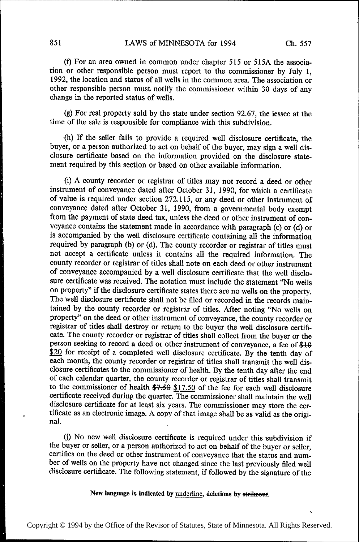(t) For an area owned in common under chapter 515 or 515A the association or other responsible person must report to the commissioner by July 1, 1992, the location and status of all wells in the common area. The association or other responsible person must notify the commissioner within 30 days of any change in the reported status of wells.

(g) For real property sold by the state under section 92.67, the lessee at the time of the sale is responsible for compliance with this subdivision.

(h) If the seller fails to provide a required well disclosure certificate, the buyer, or a person authorized to act on behalf of the buyer, may sign a well disclosure certificate based on the information provided on the disclosure statement required by this section or based on other available information.

(i) A county recorder or registrar of titles may not record a deed or other instrument of conveyance dated after October 31, 1990, for which a certificate of value is required under section 272.115, orany deed or other instrument of conveyance dated after October 31, 1990, from a governmental body exempt from the payment of state deed tax, unless the deed or other instrument of conveyance contains the statement made in accordance with paragraph (c) or (d) or is accompanied by the well disclosure certificate containing all the information required by paragraph (b) or (d). The county recorder or registrar of titles must not accept a certificate unless it contains all the required information. The county recorder or registrar of titles shall note on each deed or other instrument of conveyance accompanied by a well disclosure certificate that the well disclosure certificate was received. The notation must include the statement "No wells on property" if the disclosure certificate states there are no wells on the property. The well disclosure certificate shall not be filed or recorded in the records maintained by the county recorder or registrar of titles. After noting "No wells on property" on the deed or other instrument of conveyance, the county recorder or registrar of titles shall destroy or return to the buyer the well disclosure certificate. The county recorder or registrar of titles shall collect from the buyer or the person seeking to record a deed or other instrument of conveyance, a fee of  $$10$ \$20 for receipt of a completed well disclosure certificate. By the tenth day of each month, the county recorder or registrar of titles shall transmit the well disclosure certificates to the commissioner of health. By the tenth day after the end of each calendar quarter, the county recorder or registrar of titles shall transmit to the commissioner of health  $$7,50$   $$17.50$  of the fee for each well disclosure certificate received during the quarter. The commissioner shall maintain the well disclosure certificate for at least six years. The commissioner may store the certificate as an electronic image. A copy of that image shall be as valid as the original.

(j) No new well disclosure certificate is required under this subdivision if the buyer or seller, or a person authorized to act on behalf of the buyer or seller, certifies on the deed or other instrument of conveyance that the status and number of wells on the property have not changed since the last previously filed well disclosure certificate. The following statement, if followed by the signature of the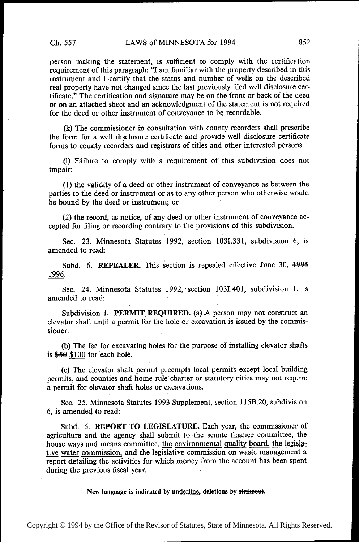person making the statement, is suflicient to comply with the certification requirement of this paragraph: "I am familiar with the property described in this instrument and I certify that the status and number of wells on the described real property have not changed since the last previously filed well disclosure certificate." The certification and signature may be on the front or back of the deed or on an attached sheet and an acknowledgment of the statement is not required for the deed or other instrument of conveyance to be recordable.

(k) The commissioner in consultation with county recorders shall prescribe the form for a well disclosure certificate and provide well disclosure certificate forms to county recorders and registrars of titles and other interested persons.

(1) Failure to comply with a requirement of this subdivision does not impair:

'(l) the validity of a deed or other instrument of conveyance as between the parties to the deed or instrument or as to any other person who otherwise would be bound by the deed or instrument; or '

- (2) the record, as notice, of any deed or other instrument of conveyance accepted for filing or recording contrary to the provisions of this subdivision.

Sec. 23. Minnesota Statutes 1992, section 103I.331, subdivision 6, is amended to read:

Subd. 6. REPEALER. This section is repealed effective June 30,  $+995$ 1996.

Sec. 24. Minnesota Statutes 1992, section 103I.401, subdivision 1, is amended to read: '

Subdivision 1. PERMIT REQUIRED. (a) A person may not construct an elevator shaft until a permit for the hole or excavation is issued by the commissioner.

(b) The fee for excavating holes for the purpose of installing elevator shafts is \$59 \$100 for each hole.

(c) The elevator shaft permit preempts local permits except local building permits, and counties and home rule charter or statutory cities may not require a permit for elevator shaft holes or excavations.

Sec. 25. Minnesota Statutes 1993 Supplement, section l15B.20, subdivision 6, is amended to read:

Subd. 6. REPORT TO LEGISLATURE. Each year, the commissioner of agriculture and the agency shall submit to the senate finance committee, the house ways and means committee, the environmental quality board, the legislative water commission, and the legislative commission on waste management a report detailing the activities for which money from the account has been spent during the previous fiscal. year.